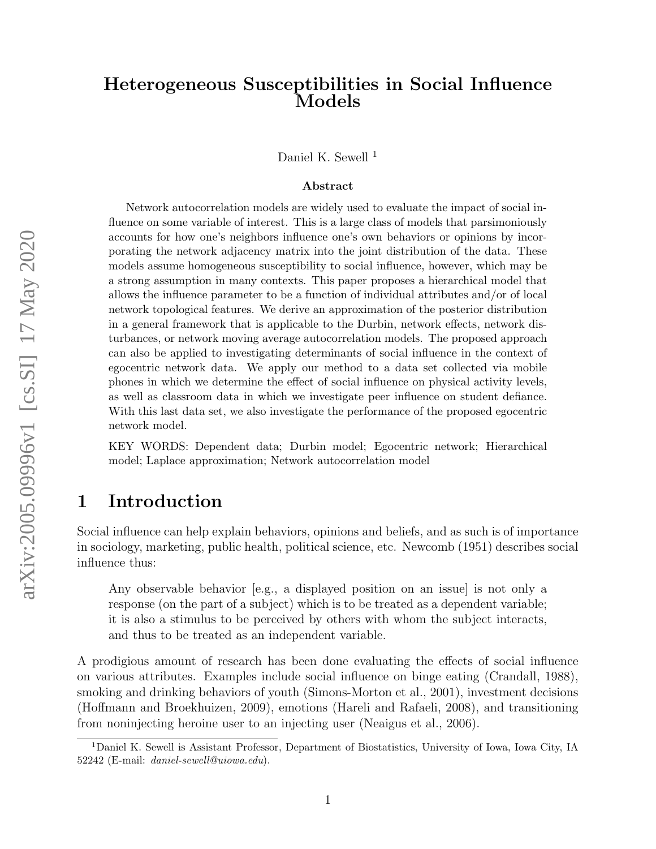# Heterogeneous Susceptibilities in Social Influence Models

Daniel K. Sewell<sup>[1](#page-0-0)</sup>

#### Abstract

Network autocorrelation models are widely used to evaluate the impact of social influence on some variable of interest. This is a large class of models that parsimoniously accounts for how one's neighbors influence one's own behaviors or opinions by incorporating the network adjacency matrix into the joint distribution of the data. These models assume homogeneous susceptibility to social influence, however, which may be a strong assumption in many contexts. This paper proposes a hierarchical model that allows the influence parameter to be a function of individual attributes and/or of local network topological features. We derive an approximation of the posterior distribution in a general framework that is applicable to the Durbin, network effects, network disturbances, or network moving average autocorrelation models. The proposed approach can also be applied to investigating determinants of social influence in the context of egocentric network data. We apply our method to a data set collected via mobile phones in which we determine the effect of social influence on physical activity levels, as well as classroom data in which we investigate peer influence on student defiance. With this last data set, we also investigate the performance of the proposed egocentric network model.

KEY WORDS: Dependent data; Durbin model; Egocentric network; Hierarchical model; Laplace approximation; Network autocorrelation model

# 1 Introduction

Social influence can help explain behaviors, opinions and beliefs, and as such is of importance in sociology, marketing, public health, political science, etc. [Newcomb](#page-21-0) [\(1951\)](#page-21-0) describes social influence thus:

Any observable behavior [e.g., a displayed position on an issue] is not only a response (on the part of a subject) which is to be treated as a dependent variable; it is also a stimulus to be perceived by others with whom the subject interacts, and thus to be treated as an independent variable.

A prodigious amount of research has been done evaluating the effects of social influence on various attributes. Examples include social influence on binge eating [\(Crandall, 1988\)](#page-19-0), smoking and drinking behaviors of youth [\(Simons-Morton et al., 2001\)](#page-21-1), investment decisions [\(Hoffmann and Broekhuizen, 2009\)](#page-20-0), emotions [\(Hareli and Rafaeli, 2008\)](#page-20-1), and transitioning from noninjecting heroine user to an injecting user [\(Neaigus et al., 2006\)](#page-20-2).

<span id="page-0-0"></span><sup>1</sup>Daniel K. Sewell is Assistant Professor, Department of Biostatistics, University of Iowa, Iowa City, IA 52242 (E-mail: daniel-sewell@uiowa.edu).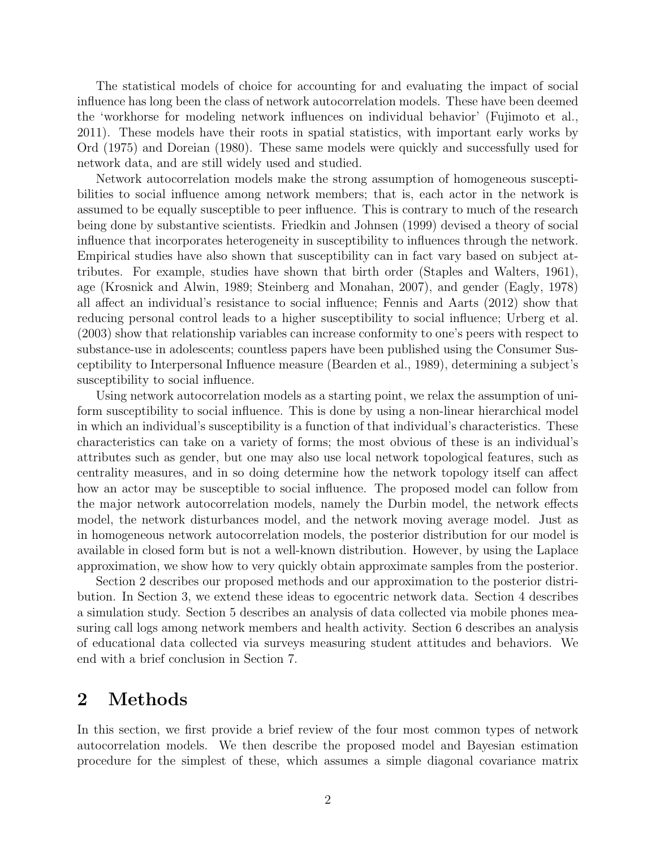The statistical models of choice for accounting for and evaluating the impact of social influence has long been the class of network autocorrelation models. These have been deemed the 'workhorse for modeling network influences on individual behavior' [\(Fujimoto et al.,](#page-20-3) [2011\)](#page-20-3). These models have their roots in spatial statistics, with important early works by [Ord](#page-21-2) [\(1975\)](#page-21-2) and [Doreian](#page-19-1) [\(1980\)](#page-19-1). These same models were quickly and successfully used for network data, and are still widely used and studied.

Network autocorrelation models make the strong assumption of homogeneous susceptibilities to social influence among network members; that is, each actor in the network is assumed to be equally susceptible to peer influence. This is contrary to much of the research being done by substantive scientists. [Friedkin and Johnsen](#page-20-4) [\(1999\)](#page-20-4) devised a theory of social influence that incorporates heterogeneity in susceptibility to influences through the network. Empirical studies have also shown that susceptibility can in fact vary based on subject attributes. For example, studies have shown that birth order [\(Staples and Walters, 1961\)](#page-21-3), age [\(Krosnick and Alwin, 1989;](#page-20-5) [Steinberg and Monahan, 2007\)](#page-21-4), and gender [\(Eagly, 1978\)](#page-19-2) all affect an individual's resistance to social influence; [Fennis and Aarts](#page-19-3) [\(2012\)](#page-19-3) show that reducing personal control leads to a higher susceptibility to social influence; [Urberg et al.](#page-21-5) [\(2003\)](#page-21-5) show that relationship variables can increase conformity to one's peers with respect to substance-use in adolescents; countless papers have been published using the Consumer Susceptibility to Interpersonal Influence measure [\(Bearden et al., 1989\)](#page-19-4), determining a subject's susceptibility to social influence.

Using network autocorrelation models as a starting point, we relax the assumption of uniform susceptibility to social influence. This is done by using a non-linear hierarchical model in which an individual's susceptibility is a function of that individual's characteristics. These characteristics can take on a variety of forms; the most obvious of these is an individual's attributes such as gender, but one may also use local network topological features, such as centrality measures, and in so doing determine how the network topology itself can affect how an actor may be susceptible to social influence. The proposed model can follow from the major network autocorrelation models, namely the Durbin model, the network effects model, the network disturbances model, and the network moving average model. Just as in homogeneous network autocorrelation models, the posterior distribution for our model is available in closed form but is not a well-known distribution. However, by using the Laplace approximation, we show how to very quickly obtain approximate samples from the posterior.

Section [2](#page-1-0) describes our proposed methods and our approximation to the posterior distribution. In Section [3,](#page-7-0) we extend these ideas to egocentric network data. Section [4](#page-9-0) describes a simulation study. Section [5](#page-10-0) describes an analysis of data collected via mobile phones measuring call logs among network members and health activity. Section [6](#page-13-0) describes an analysis of educational data collected via surveys measuring student attitudes and behaviors. We end with a brief conclusion in Section [7.](#page-16-0)

### <span id="page-1-0"></span>2 Methods

In this section, we first provide a brief review of the four most common types of network autocorrelation models. We then describe the proposed model and Bayesian estimation procedure for the simplest of these, which assumes a simple diagonal covariance matrix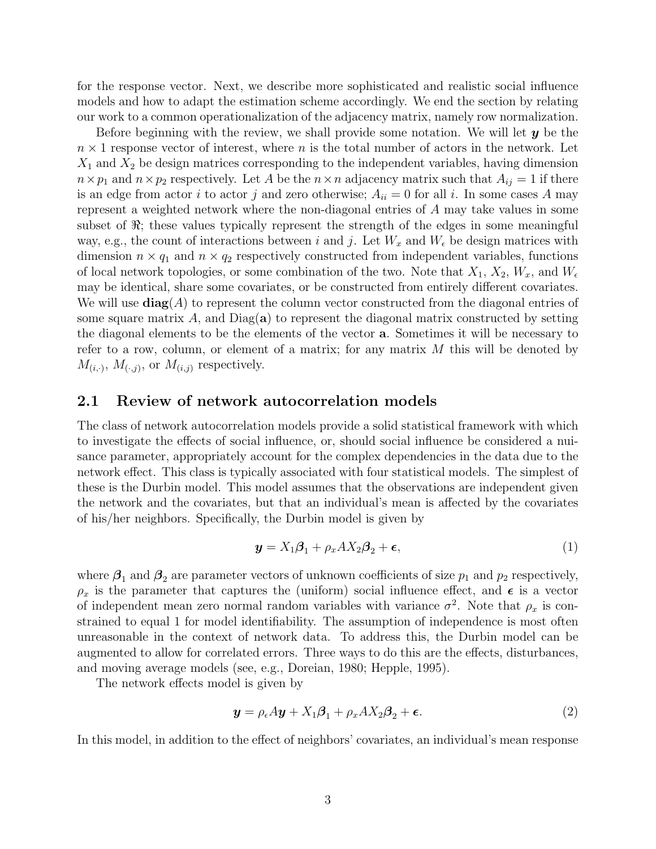for the response vector. Next, we describe more sophisticated and realistic social influence models and how to adapt the estimation scheme accordingly. We end the section by relating our work to a common operationalization of the adjacency matrix, namely row normalization.

Before beginning with the review, we shall provide some notation. We will let  $y$  be the  $n \times 1$  response vector of interest, where n is the total number of actors in the network. Let  $X_1$  and  $X_2$  be design matrices corresponding to the independent variables, having dimension  $n \times p_1$  and  $n \times p_2$  respectively. Let A be the  $n \times n$  adjacency matrix such that  $A_{ij} = 1$  if there is an edge from actor i to actor j and zero otherwise;  $A_{ii} = 0$  for all i. In some cases A may represent a weighted network where the non-diagonal entries of A may take values in some subset of  $\Re$ ; these values typically represent the strength of the edges in some meaningful way, e.g., the count of interactions between i and j. Let  $W_x$  and  $W_\epsilon$  be design matrices with dimension  $n \times q_1$  and  $n \times q_2$  respectively constructed from independent variables, functions of local network topologies, or some combination of the two. Note that  $X_1, X_2, W_x$ , and  $W_{\epsilon}$ may be identical, share some covariates, or be constructed from entirely different covariates. We will use  $\text{diag}(A)$  to represent the column vector constructed from the diagonal entries of some square matrix  $A$ , and  $Diag(a)$  to represent the diagonal matrix constructed by setting the diagonal elements to be the elements of the vector a. Sometimes it will be necessary to refer to a row, column, or element of a matrix; for any matrix  $M$  this will be denoted by  $M_{(i,\cdot)}, M_{(\cdot,j)}$ , or  $M_{(i,j)}$  respectively.

### 2.1 Review of network autocorrelation models

The class of network autocorrelation models provide a solid statistical framework with which to investigate the effects of social influence, or, should social influence be considered a nuisance parameter, appropriately account for the complex dependencies in the data due to the network effect. This class is typically associated with four statistical models. The simplest of these is the Durbin model. This model assumes that the observations are independent given the network and the covariates, but that an individual's mean is affected by the covariates of his/her neighbors. Specifically, the Durbin model is given by

<span id="page-2-0"></span>
$$
\mathbf{y} = X_1 \boldsymbol{\beta}_1 + \rho_x A X_2 \boldsymbol{\beta}_2 + \boldsymbol{\epsilon},\tag{1}
$$

where  $\beta_1$  and  $\beta_2$  are parameter vectors of unknown coefficients of size  $p_1$  and  $p_2$  respectively,  $\rho_x$  is the parameter that captures the (uniform) social influence effect, and  $\epsilon$  is a vector of independent mean zero normal random variables with variance  $\sigma^2$ . Note that  $\rho_x$  is constrained to equal 1 for model identifiability. The assumption of independence is most often unreasonable in the context of network data. To address this, the Durbin model can be augmented to allow for correlated errors. Three ways to do this are the effects, disturbances, and moving average models (see, e.g., [Doreian, 1980;](#page-19-1) [Hepple, 1995\)](#page-20-6).

The network effects model is given by

$$
\mathbf{y} = \rho_{\epsilon} A \mathbf{y} + X_1 \boldsymbol{\beta}_1 + \rho_x A X_2 \boldsymbol{\beta}_2 + \boldsymbol{\epsilon}.
$$
 (2)

In this model, in addition to the effect of neighbors' covariates, an individual's mean response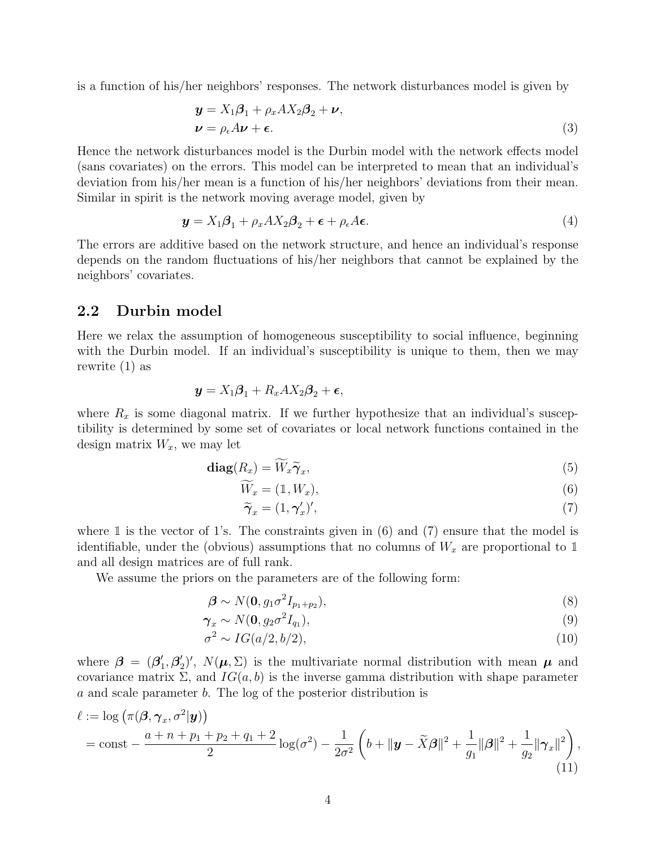is a function of his/her neighbors' responses. The network disturbances model is given by

$$
\mathbf{y} = X_1 \boldsymbol{\beta}_1 + \rho_x A X_2 \boldsymbol{\beta}_2 + \boldsymbol{\nu}, \n\boldsymbol{\nu} = \rho_{\epsilon} A \boldsymbol{\nu} + \boldsymbol{\epsilon}.
$$
\n(3)

Hence the network disturbances model is the Durbin model with the network effects model (sans covariates) on the errors. This model can be interpreted to mean that an individual's deviation from his/her mean is a function of his/her neighbors' deviations from their mean. Similar in spirit is the network moving average model, given by

<span id="page-3-2"></span>
$$
\mathbf{y} = X_1 \boldsymbol{\beta}_1 + \rho_x A X_2 \boldsymbol{\beta}_2 + \boldsymbol{\epsilon} + \rho_\epsilon A \boldsymbol{\epsilon}.
$$
 (4)

The errors are additive based on the network structure, and hence an individual's response depends on the random fluctuations of his/her neighbors that cannot be explained by the neighbors' covariates.

### 2.2 Durbin model

Here we relax the assumption of homogeneous susceptibility to social influence, beginning with the Durbin model. If an individual's susceptibility is unique to them, then we may rewrite [\(1\)](#page-2-0) as

$$
\mathbf{y} = X_1 \boldsymbol{\beta}_1 + R_x A X_2 \boldsymbol{\beta}_2 + \boldsymbol{\epsilon},
$$

where  $R_x$  is some diagonal matrix. If we further hypothesize that an individual's susceptibility is determined by some set of covariates or local network functions contained in the design matrix  $W_x$ , we may let

$$
\operatorname{diag}(R_x) = \widetilde{W}_x \widetilde{\boldsymbol{\gamma}}_x,\tag{5}
$$

$$
\widetilde{W}_x = (1, W_x), \tag{6}
$$

<span id="page-3-1"></span><span id="page-3-0"></span>
$$
\widetilde{\boldsymbol{\gamma}}_x = (1, \boldsymbol{\gamma}_x')',\tag{7}
$$

where  $\mathbbm{1}$  is the vector of 1's. The constraints given in [\(6\)](#page-3-0) and [\(7\)](#page-3-1) ensure that the model is identifiable, under the (obvious) assumptions that no columns of  $W_x$  are proportional to 1 and all design matrices are of full rank.

We assume the priors on the parameters are of the following form:

$$
\boldsymbol{\beta} \sim N(\mathbf{0}, g_1 \sigma^2 I_{p_1 + p_2}),\tag{8}
$$

$$
\boldsymbol{\gamma}_x \sim N(\mathbf{0}, g_2 \sigma^2 I_{q_1}),\tag{9}
$$

$$
\sigma^2 \sim IG(a/2, b/2),\tag{10}
$$

where  $\beta = (\beta_1')$  $_{1}^{\prime},\boldsymbol{\beta}_{2}^{\prime}$  $(2)$ ',  $N(\mu, \Sigma)$  is the multivariate normal distribution with mean  $\mu$  and covariance matrix  $\Sigma$ , and  $IG(a, b)$  is the inverse gamma distribution with shape parameter a and scale parameter b. The log of the posterior distribution is

$$
\ell := \log \left( \pi(\boldsymbol{\beta}, \boldsymbol{\gamma}_x, \sigma^2 | \mathbf{y}) \right) \n= \text{const} - \frac{a + n + p_1 + p_2 + q_1 + 2}{2} \log(\sigma^2) - \frac{1}{2\sigma^2} \left( b + ||\mathbf{y} - \tilde{X}\boldsymbol{\beta}||^2 + \frac{1}{g_1} ||\boldsymbol{\beta}||^2 + \frac{1}{g_2} ||\boldsymbol{\gamma}_x||^2 \right),
$$
\n(11)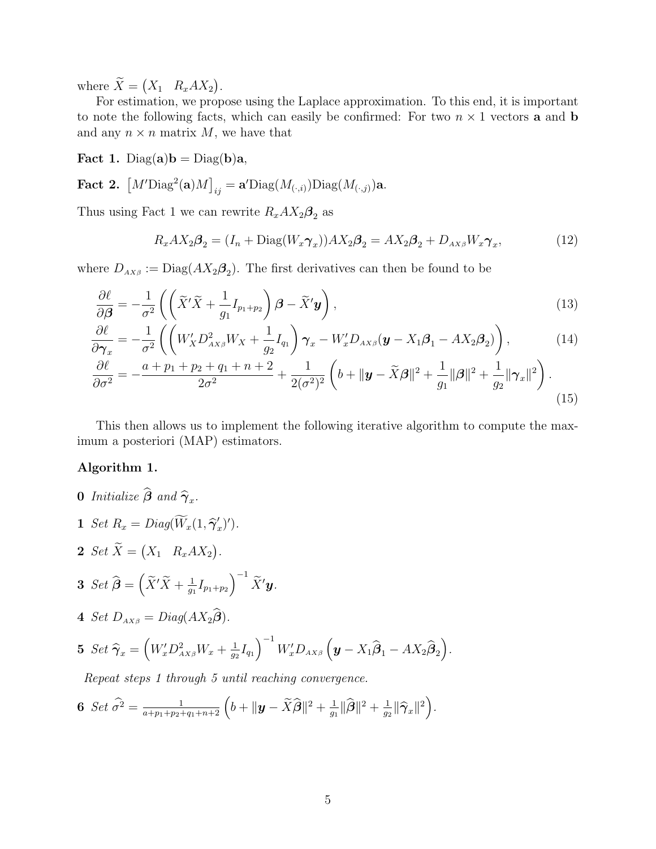where  $\ddot{X} = \begin{pmatrix} X_1 & R_x A X_2 \end{pmatrix}$ .

For estimation, we propose using the Laplace approximation. To this end, it is important to note the following facts, which can easily be confirmed: For two  $n \times 1$  vectors **a** and **b** and any  $n \times n$  matrix M, we have that

Fact 1. Diag(a) $b = Diag(b)a$ ,

Fact 2.  $\left[M'\text{Diag}^2(\mathbf{a})M\right]_{ij} = \mathbf{a}'\text{Diag}(M_{(\cdot,i)})\text{Diag}(M_{(\cdot,j)})\mathbf{a}.$ 

Thus using Fact 1 we can rewrite  $R_x A X_2 \beta_2$  as

<span id="page-4-0"></span>
$$
R_x A X_2 \beta_2 = (I_n + \text{Diag}(W_x \gamma_x)) A X_2 \beta_2 = A X_2 \beta_2 + D_{AX\beta} W_x \gamma_x, \tag{12}
$$

where  $D_{AX\beta} := \text{Diag}(AX_2\beta_2)$ . The first derivatives can then be found to be

$$
\frac{\partial \ell}{\partial \boldsymbol{\beta}} = -\frac{1}{\sigma^2} \left( \left( \tilde{X}' \tilde{X} + \frac{1}{g_1} I_{p_1 + p_2} \right) \boldsymbol{\beta} - \tilde{X}' \boldsymbol{y} \right), \tag{13}
$$

$$
\frac{\partial \ell}{\partial \gamma_x} = -\frac{1}{\sigma^2} \left( \left( W'_X D^2_{AX\beta} W_X + \frac{1}{g_2} I_{q_1} \right) \gamma_x - W'_x D_{AX\beta} (\mathbf{y} - X_1 \boldsymbol{\beta}_1 - AX_2 \boldsymbol{\beta}_2) \right), \tag{14}
$$

$$
\frac{\partial \ell}{\partial \sigma^2} = -\frac{a + p_1 + p_2 + q_1 + n + 2}{2\sigma^2} + \frac{1}{2(\sigma^2)^2} \left( b + \|\mathbf{y} - \tilde{X}\mathbf{\beta}\|^2 + \frac{1}{g_1} \|\mathbf{\beta}\|^2 + \frac{1}{g_2} \|\boldsymbol{\gamma}_x\|^2 \right). \tag{15}
$$

This then allows us to implement the following iterative algorithm to compute the maximum a posteriori (MAP) estimators.

#### Algorithm 1.

- **0** Initialize  $\boldsymbol{\beta}$  and  $\widehat{\boldsymbol{\gamma}}_x$ .
- **1** Set  $R_x = Diag(\widetilde{W}_x(1, \widehat{\boldsymbol{\gamma}}'_x))$  $'_{x})')$ .
- 2 Set  $X = (X_1 \ R_x A X_2).$

$$
3 \ \ Set \ \widehat{\boldsymbol{\beta}} = \left( \widetilde{X}' \widetilde{X} + \frac{1}{g_1} I_{p_1+p_2} \right)^{-1} \widetilde{X}' \boldsymbol{y}.
$$

4 Set  $D_{AX\beta} = Diag(AX_2\widehat{\boldsymbol{\beta}})$ .

5 Set 
$$
\widehat{\boldsymbol{\gamma}}_x = \left(W'_x D^2_{AX\beta} W_x + \frac{1}{g_2} I_{q_1}\right)^{-1} W'_x D_{AX\beta} \left(\boldsymbol{y} - X_1 \widehat{\boldsymbol{\beta}}_1 - AX_2 \widehat{\boldsymbol{\beta}}_2\right).
$$

Repeat steps 1 through 5 until reaching convergence.

**6** Set 
$$
\widehat{\sigma}^2 = \frac{1}{a+p_1+p_2+q_1+n+2} \left(b + \|\mathbf{y} - \widetilde{X}\widehat{\boldsymbol{\beta}}\|^2 + \frac{1}{g_1}\|\widehat{\boldsymbol{\beta}}\|^2 + \frac{1}{g_2}\|\widehat{\boldsymbol{\gamma}}_x\|^2\right).
$$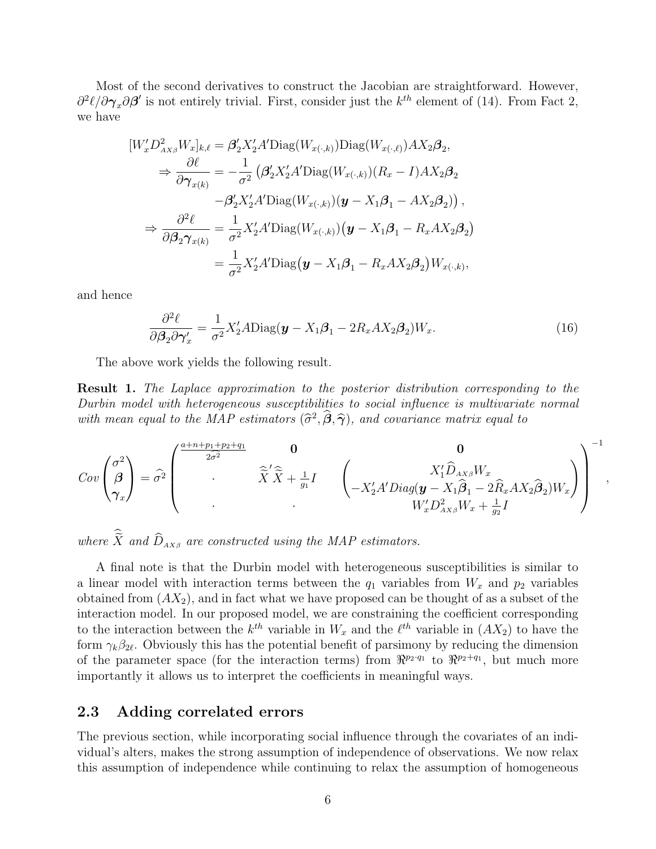Most of the second derivatives to construct the Jacobian are straightforward. However,  $\partial^2 \ell/\partial \gamma_x \partial \beta'$  is not entirely trivial. First, consider just the  $k^{th}$  element of [\(14\)](#page-4-0). From Fact 2, we have

$$
[W'_x D^2_{AX_\beta} W_x]_{k,\ell} = \beta'_2 X'_2 A' \text{Diag}(W_{x(\cdot,k)}) \text{Diag}(W_{x(\cdot,\ell)}) A X_2 \beta_2,
$$
  
\n
$$
\Rightarrow \frac{\partial \ell}{\partial \gamma_{x(k)}} = -\frac{1}{\sigma^2} \left( \beta'_2 X'_2 A' \text{Diag}(W_{x(\cdot,k)}) (R_x - I) A X_2 \beta_2 \right)
$$
  
\n
$$
- \beta'_2 X'_2 A' \text{Diag}(W_{x(\cdot,k)}) (\mathbf{y} - X_1 \beta_1 - A X_2 \beta_2),
$$
  
\n
$$
\Rightarrow \frac{\partial^2 \ell}{\partial \beta_2 \gamma_{x(k)}} = \frac{1}{\sigma^2} X'_2 A' \text{Diag}(W_{x(\cdot,k)}) (\mathbf{y} - X_1 \beta_1 - R_x A X_2 \beta_2)
$$
  
\n
$$
= \frac{1}{\sigma^2} X'_2 A' \text{Diag}(\mathbf{y} - X_1 \beta_1 - R_x A X_2 \beta_2) W_{x(\cdot,k)},
$$

and hence

$$
\frac{\partial^2 \ell}{\partial \beta_2 \partial \gamma_x'} = \frac{1}{\sigma^2} X_2' A \text{Diag}(\mathbf{y} - X_1 \beta_1 - 2R_x A X_2 \beta_2) W_x. \tag{16}
$$

The above work yields the following result.

Result 1. The Laplace approximation to the posterior distribution corresponding to the Durbin model with heterogeneous susceptibilities to social influence is multivariate normal with mean equal to the MAP estimators  $(\hat{\sigma}^2, \hat{\beta}, \hat{\gamma})$ , and covariance matrix equal to

$$
Cov\begin{pmatrix} \sigma^2 \\ \beta \\ \gamma_x \end{pmatrix} = \widehat{\sigma}^2 \begin{pmatrix} \frac{a+n+p_1+p_2+q_1}{2\widehat{\sigma}^2} & \mathbf{0} & \mathbf{0} \\ \vdots & \hat{\widetilde{X}}^{\prime} \widehat{\widetilde{X}} + \frac{1}{g_1} I & \begin{pmatrix} X_1^{\prime} \widehat{D}_{AX\beta} W_x \\ -X_2^{\prime} A^{\prime} Diag(\mathbf{y} - X_1 \widehat{\beta}_1 - 2\widehat{R}_x A X_2 \widehat{\beta}_2) W_x \end{pmatrix} \end{pmatrix}^{-1}
$$

,

where  $\hat{\tilde{X}}$  and  $\hat{D}_{AX\beta}$  are constructed using the MAP estimators.

A final note is that the Durbin model with heterogeneous susceptibilities is similar to a linear model with interaction terms between the  $q_1$  variables from  $W_x$  and  $p_2$  variables obtained from  $(AX_2)$ , and in fact what we have proposed can be thought of as a subset of the interaction model. In our proposed model, we are constraining the coefficient corresponding to the interaction between the  $k^{th}$  variable in  $W_x$  and the  $\ell^{th}$  variable in  $(AX_2)$  to have the form  $\gamma_k \beta_{2\ell}$ . Obviously this has the potential benefit of parsimony by reducing the dimension of the parameter space (for the interaction terms) from  $\mathbb{R}^{p_2 \cdot q_1}$  to  $\mathbb{R}^{p_2+q_1}$ , but much more importantly it allows us to interpret the coefficients in meaningful ways.

### 2.3 Adding correlated errors

The previous section, while incorporating social influence through the covariates of an individual's alters, makes the strong assumption of independence of observations. We now relax this assumption of independence while continuing to relax the assumption of homogeneous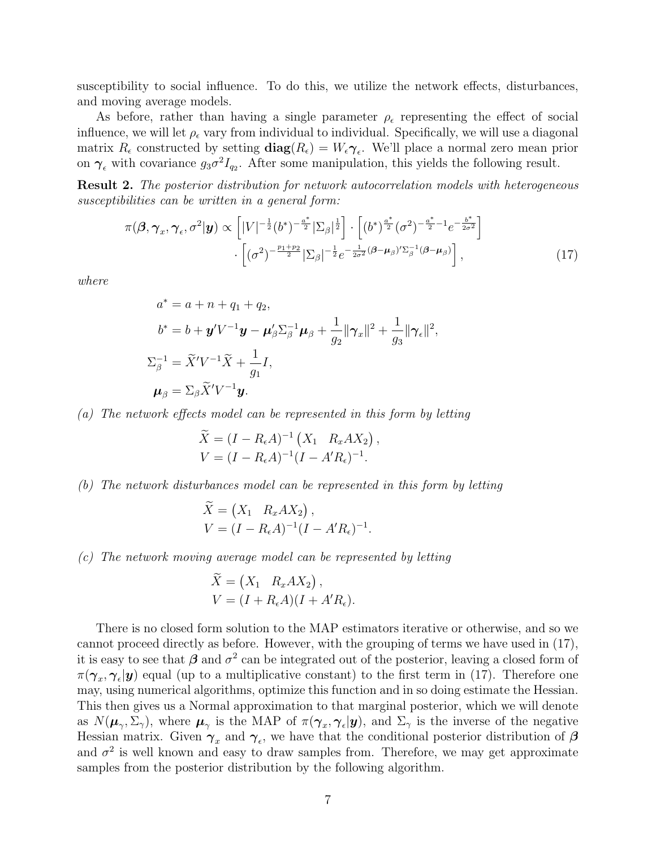susceptibility to social influence. To do this, we utilize the network effects, disturbances, and moving average models.

As before, rather than having a single parameter  $\rho_{\epsilon}$  representing the effect of social influence, we will let  $\rho_{\epsilon}$  vary from individual to individual. Specifically, we will use a diagonal matrix  $R_{\epsilon}$  constructed by setting  $diag(R_{\epsilon}) = W_{\epsilon} \gamma_{\epsilon}$ . We'll place a normal zero mean prior on  $\gamma_{\epsilon}$  with covariance  $g_3\sigma^2 I_{q_2}$ . After some manipulation, this yields the following result.

Result 2. The posterior distribution for network autocorrelation models with heterogeneous susceptibilities can be written in a general form:

$$
\pi(\boldsymbol{\beta}, \boldsymbol{\gamma}_x, \boldsymbol{\gamma}_\epsilon, \sigma^2 | \mathbf{y}) \propto \left[ |V|^{-\frac{1}{2}} (b^*)^{-\frac{a^*}{2}} |\Sigma_\beta|^{\frac{1}{2}} \right] \cdot \left[ (b^*)^{\frac{a^*}{2}} (\sigma^2)^{-\frac{a^*}{2} - 1} e^{-\frac{b^*}{2\sigma^2}} \right] \cdot \left[ (\sigma^2)^{-\frac{p_1 + p_2}{2}} |\Sigma_\beta|^{-\frac{1}{2}} e^{-\frac{1}{2\sigma^2} (\boldsymbol{\beta} - \boldsymbol{\mu}_\beta)' \Sigma_\beta^{-1} (\boldsymbol{\beta} - \boldsymbol{\mu}_\beta)} \right],
$$
\n(17)

where

$$
a^* = a + n + q_1 + q_2,
$$
  
\n
$$
b^* = b + \mathbf{y}'V^{-1}\mathbf{y} - \mathbf{\mu}'_{\beta}\Sigma_{\beta}^{-1}\mathbf{\mu}_{\beta} + \frac{1}{g_2}||\gamma_x||^2 + \frac{1}{g_3}||\gamma_{\epsilon}||^2,
$$
  
\n
$$
\Sigma_{\beta}^{-1} = \widetilde{X}'V^{-1}\widetilde{X} + \frac{1}{g_1}I,
$$
  
\n
$$
\mathbf{\mu}_{\beta} = \Sigma_{\beta}\widetilde{X}'V^{-1}\mathbf{y}.
$$

(a) The network effects model can be represented in this form by letting

<span id="page-6-0"></span>
$$
\widetilde{X} = (I - R_{\epsilon}A)^{-1} (X_1 \ R_x A X_2),
$$
  
\n
$$
V = (I - R_{\epsilon}A)^{-1} (I - A' R_{\epsilon})^{-1}.
$$

(b) The network disturbances model can be represented in this form by letting

$$
\bar{X} = (X_1 \ R_x A X_2), \nV = (I - R_{\epsilon} A)^{-1} (I - A' R_{\epsilon})^{-1}.
$$

(c) The network moving average model can be represented by letting

$$
\widetilde{X} = \begin{pmatrix} X_1 & R_x A X_2 \end{pmatrix},
$$
\n
$$
V = (I + R_{\epsilon} A)(I + A' R_{\epsilon}).
$$

There is no closed form solution to the MAP estimators iterative or otherwise, and so we cannot proceed directly as before. However, with the grouping of terms we have used in [\(17\)](#page-6-0), it is easy to see that  $\beta$  and  $\sigma^2$  can be integrated out of the posterior, leaving a closed form of  $\pi(\gamma_x, \gamma_\epsilon | y)$  equal (up to a multiplicative constant) to the first term in [\(17\)](#page-6-0). Therefore one may, using numerical algorithms, optimize this function and in so doing estimate the Hessian. This then gives us a Normal approximation to that marginal posterior, which we will denote as  $N(\mu_{\gamma}, \Sigma_{\gamma})$ , where  $\mu_{\gamma}$  is the MAP of  $\pi(\gamma_x, \gamma_{\epsilon} | y)$ , and  $\Sigma_{\gamma}$  is the inverse of the negative Hessian matrix. Given  $\gamma_x$  and  $\gamma_\epsilon$ , we have that the conditional posterior distribution of  $\beta$ and  $\sigma^2$  is well known and easy to draw samples from. Therefore, we may get approximate samples from the posterior distribution by the following algorithm.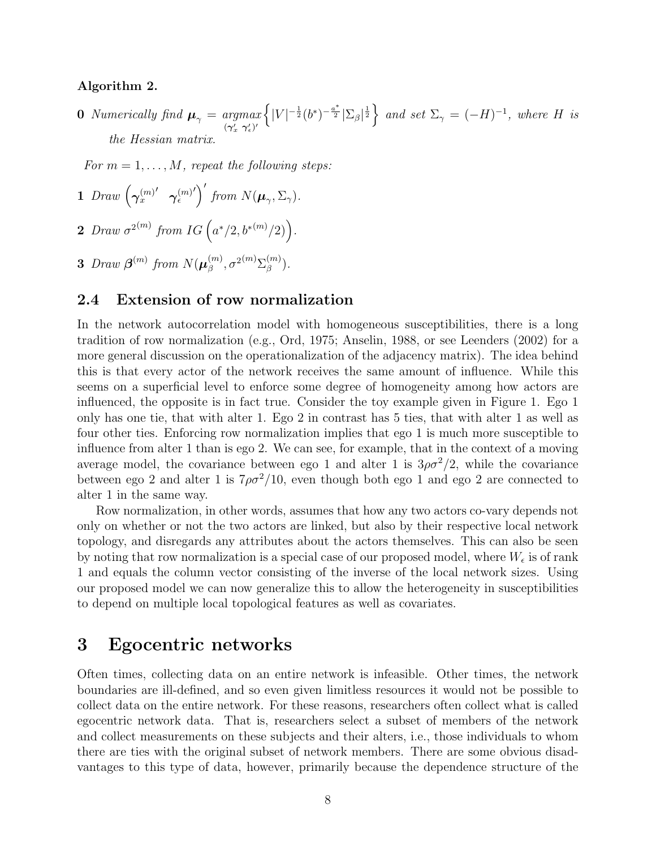#### <span id="page-7-2"></span>Algorithm 2.

**0** Numerically find  $\boldsymbol{\mu}_{\gamma} = \underset{(\boldsymbol{\gamma}'_x \ \boldsymbol{\gamma}'_e)'}{\operatorname{argmax}}$  $\left\{|V|^{-\frac{1}{2}}(b^*)^{-\frac{a^*}{2}}|\Sigma_{\beta}|^{\frac{1}{2}}\right\}$  and set  $\Sigma_{\gamma} = (-H)^{-1}$ , where H is the Hessian matrix.

For  $m = 1, \ldots, M$ , repeat the following steps:

- 1 Draw  $(\gamma_x^{(m)}$  $^\prime$   $\gamma_\epsilon^{(m)}$  $\int'$  from  $N(\boldsymbol{\mu}_{\gamma}, \Sigma_{\gamma}).$
- 2 Draw  $\sigma^{2(m)}$  from IG  $(a^*/2, b^{*(m)}/2)$ .
- 3 Draw  $\boldsymbol{\beta}^{(m)}$  from  $N(\boldsymbol{\mu}_{\beta}^{(m)})$  $\sigma_{\beta}^{(m)}, \sigma^{2(m)}\Sigma_{\beta}^{(m)}$  $\binom{m}{\beta}$ .

### <span id="page-7-1"></span>2.4 Extension of row normalization

In the network autocorrelation model with homogeneous susceptibilities, there is a long tradition of row normalization (e.g., [Ord, 1975;](#page-21-2) [Anselin, 1988,](#page-19-5) or see [Leenders](#page-20-7) [\(2002\)](#page-20-7) for a more general discussion on the operationalization of the adjacency matrix). The idea behind this is that every actor of the network receives the same amount of influence. While this seems on a superficial level to enforce some degree of homogeneity among how actors are influenced, the opposite is in fact true. Consider the toy example given in Figure [1.](#page-8-0) Ego 1 only has one tie, that with alter 1. Ego 2 in contrast has 5 ties, that with alter 1 as well as four other ties. Enforcing row normalization implies that ego 1 is much more susceptible to influence from alter 1 than is ego 2. We can see, for example, that in the context of a moving average model, the covariance between ego 1 and alter 1 is  $3\rho\sigma^2/2$ , while the covariance between ego 2 and alter 1 is  $7\rho\sigma^2/10$ , even though both ego 1 and ego 2 are connected to alter 1 in the same way.

Row normalization, in other words, assumes that how any two actors co-vary depends not only on whether or not the two actors are linked, but also by their respective local network topology, and disregards any attributes about the actors themselves. This can also be seen by noting that row normalization is a special case of our proposed model, where  $W_{\epsilon}$  is of rank 1 and equals the column vector consisting of the inverse of the local network sizes. Using our proposed model we can now generalize this to allow the heterogeneity in susceptibilities to depend on multiple local topological features as well as covariates.

## <span id="page-7-0"></span>3 Egocentric networks

Often times, collecting data on an entire network is infeasible. Other times, the network boundaries are ill-defined, and so even given limitless resources it would not be possible to collect data on the entire network. For these reasons, researchers often collect what is called egocentric network data. That is, researchers select a subset of members of the network and collect measurements on these subjects and their alters, i.e., those individuals to whom there are ties with the original subset of network members. There are some obvious disadvantages to this type of data, however, primarily because the dependence structure of the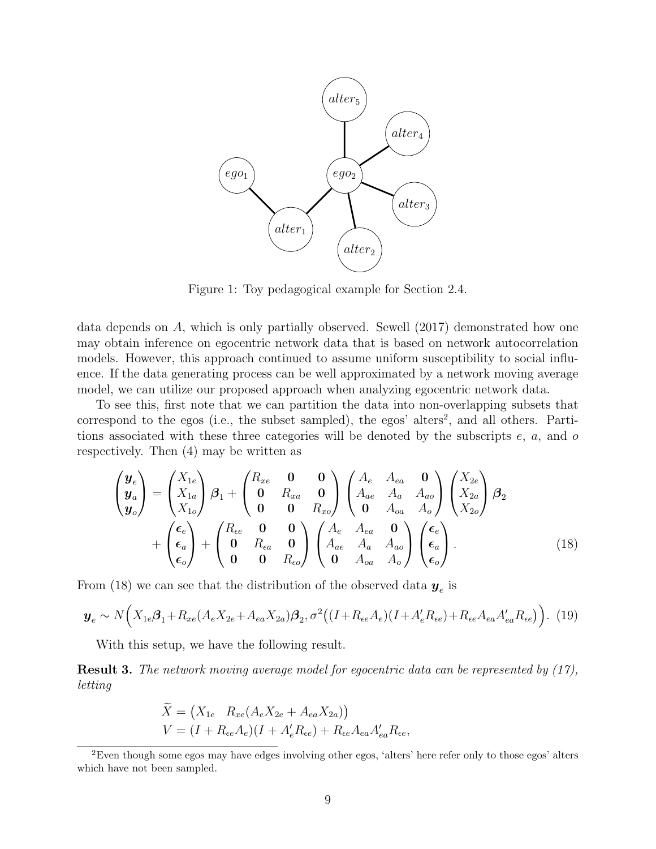<span id="page-8-0"></span>

Figure 1: Toy pedagogical example for Section [2.4.](#page-7-1)

data depends on A, which is only partially observed. [Sewell](#page-21-6) [\(2017\)](#page-21-6) demonstrated how one may obtain inference on egocentric network data that is based on network autocorrelation models. However, this approach continued to assume uniform susceptibility to social influence. If the data generating process can be well approximated by a network moving average model, we can utilize our proposed approach when analyzing egocentric network data.

To see this, first note that we can partition the data into non-overlapping subsets that correspond to the egos (i.e., the subset sampled), the egos' alters<sup>[2](#page-8-1)</sup>, and all others. Partitions associated with these three categories will be denoted by the subscripts  $e$ ,  $a$ , and  $o$ respectively. Then [\(4\)](#page-3-2) may be written as

$$
\begin{pmatrix}\n\mathbf{y}_e \\
\mathbf{y}_a \\
\mathbf{y}_o\n\end{pmatrix} = \begin{pmatrix}\nX_{1e} \\
X_{1a} \\
X_{1o}\n\end{pmatrix}\n\beta_1 + \begin{pmatrix}\nR_{xe} & \mathbf{0} & \mathbf{0} \\
\mathbf{0} & R_{xa} & \mathbf{0} \\
\mathbf{0} & \mathbf{0} & R_{xo}\n\end{pmatrix}\n\begin{pmatrix}\nA_e & A_{ea} & \mathbf{0} \\
A_{ae} & A_a & A_{ao} \\
\mathbf{0} & A_{oa} & A_o\n\end{pmatrix}\n\begin{pmatrix}\nX_{2e} \\
X_{2a} \\
X_{2o}\n\end{pmatrix}\n\beta_2\n+ \begin{pmatrix}\n\epsilon_e \\
\epsilon_a \\
\epsilon_o\n\end{pmatrix} + \begin{pmatrix}\nR_{ee} & \mathbf{0} & \mathbf{0} \\
\mathbf{0} & R_{ea} & \mathbf{0} \\
\mathbf{0} & \mathbf{0} & R_{eo}\n\end{pmatrix}\n\begin{pmatrix}\nA_e & A_{ea} & \mathbf{0} \\
A_{ae} & A_a & A_{ao} \\
\mathbf{0} & A_{oa} & A_o\n\end{pmatrix}\n\begin{pmatrix}\n\epsilon_e \\
\epsilon_a \\
\epsilon_o\n\end{pmatrix}.
$$
\n(18)

From [\(18\)](#page-8-2) we can see that the distribution of the observed data  $y_e$  is

$$
\mathbf{y}_e \sim N\Big(X_{1e}\beta_{1} + R_{xe}(A_eX_{2e} + A_{ea}X_{2a})\beta_{2}, \sigma^2\big((I + R_{ee}A_e)(I + A'_eR_{ee}) + R_{ee}A_{ea}A'_{ea}R_{ee}\big)\Big). (19)
$$

With this setup, we have the following result.

<span id="page-8-3"></span>Result 3. The network moving average model for egocentric data can be represented by [\(17\)](#page-6-0), letting

<span id="page-8-2"></span>
$$
\widetilde{X} = (X_{1e} \ R_{xe}(A_e X_{2e} + A_{ea} X_{2a}))
$$
  
\n
$$
V = (I + R_{ee} A_e)(I + A'_e R_{ee}) + R_{ee} A_{ea} A'_{ea} R_{ee},
$$

<span id="page-8-1"></span> $2E$ ven though some egos may have edges involving other egos, 'alters' here refer only to those egos' alters which have not been sampled.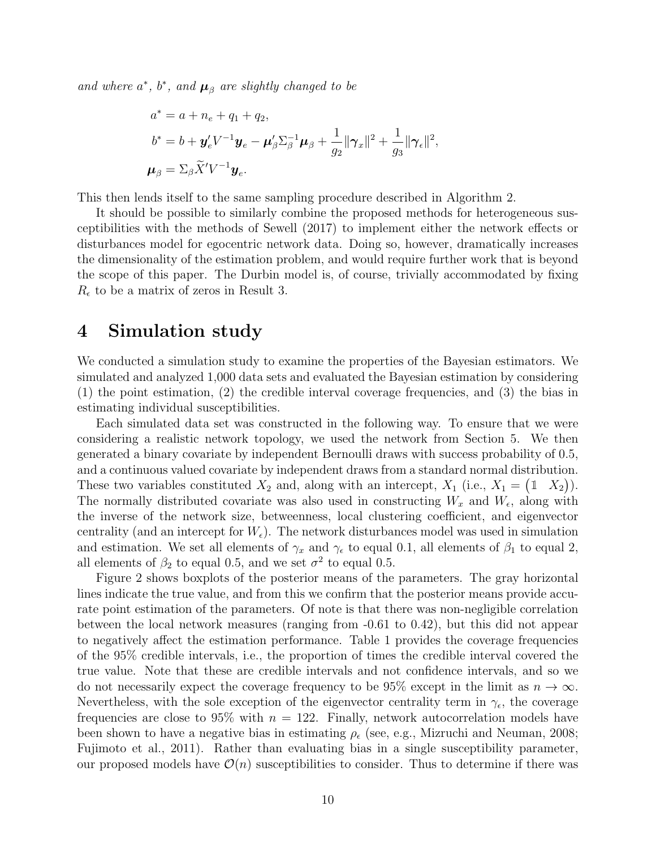and where  $a^*$ ,  $b^*$ , and  $\boldsymbol{\mu}_{\beta}$  are slightly changed to be

$$
a^* = a + n_e + q_1 + q_2,
$$
  
\n
$$
b^* = b + \mathbf{y}'_e V^{-1} \mathbf{y}_e - \mathbf{\mu}'_\beta \Sigma_\beta^{-1} \mathbf{\mu}_\beta + \frac{1}{g_2} ||\gamma_x||^2 + \frac{1}{g_3} ||\gamma_e||^2,
$$
  
\n
$$
\mathbf{\mu}_\beta = \Sigma_\beta \widetilde{X}' V^{-1} \mathbf{y}_e.
$$

This then lends itself to the same sampling procedure described in Algorithm [2.](#page-7-2)

It should be possible to similarly combine the proposed methods for heterogeneous susceptibilities with the methods of [Sewell](#page-21-6) [\(2017\)](#page-21-6) to implement either the network effects or disturbances model for egocentric network data. Doing so, however, dramatically increases the dimensionality of the estimation problem, and would require further work that is beyond the scope of this paper. The Durbin model is, of course, trivially accommodated by fixing  $R_{\epsilon}$  to be a matrix of zeros in Result [3.](#page-8-3)

## <span id="page-9-0"></span>4 Simulation study

We conducted a simulation study to examine the properties of the Bayesian estimators. We simulated and analyzed 1,000 data sets and evaluated the Bayesian estimation by considering (1) the point estimation, (2) the credible interval coverage frequencies, and (3) the bias in estimating individual susceptibilities.

Each simulated data set was constructed in the following way. To ensure that we were considering a realistic network topology, we used the network from Section [5.](#page-10-0) We then generated a binary covariate by independent Bernoulli draws with success probability of 0.5, and a continuous valued covariate by independent draws from a standard normal distribution. These two variables constituted  $X_2$  and, along with an intercept,  $X_1$  (i.e.,  $X_1 = \begin{pmatrix} 1 & X_2 \end{pmatrix}$ ). The normally distributed covariate was also used in constructing  $W_x$  and  $W_{\epsilon}$ , along with the inverse of the network size, betweenness, local clustering coefficient, and eigenvector centrality (and an intercept for  $W_{\epsilon}$ ). The network disturbances model was used in simulation and estimation. We set all elements of  $\gamma_x$  and  $\gamma_\epsilon$  to equal 0.1, all elements of  $\beta_1$  to equal 2, all elements of  $\beta_2$  to equal 0.5, and we set  $\sigma^2$  to equal 0.5.

Figure [2](#page-10-1) shows boxplots of the posterior means of the parameters. The gray horizontal lines indicate the true value, and from this we confirm that the posterior means provide accurate point estimation of the parameters. Of note is that there was non-negligible correlation between the local network measures (ranging from -0.61 to 0.42), but this did not appear to negatively affect the estimation performance. Table [1](#page-11-0) provides the coverage frequencies of the 95% credible intervals, i.e., the proportion of times the credible interval covered the true value. Note that these are credible intervals and not confidence intervals, and so we do not necessarily expect the coverage frequency to be 95% except in the limit as  $n \to \infty$ . Nevertheless, with the sole exception of the eigenvector centrality term in  $\gamma_{\epsilon}$ , the coverage frequencies are close to 95% with  $n = 122$ . Finally, network autocorrelation models have been shown to have a negative bias in estimating  $\rho_{\epsilon}$  (see, e.g., [Mizruchi and Neuman, 2008;](#page-20-8) [Fujimoto et al., 2011\)](#page-20-3). Rather than evaluating bias in a single susceptibility parameter, our proposed models have  $\mathcal{O}(n)$  susceptibilities to consider. Thus to determine if there was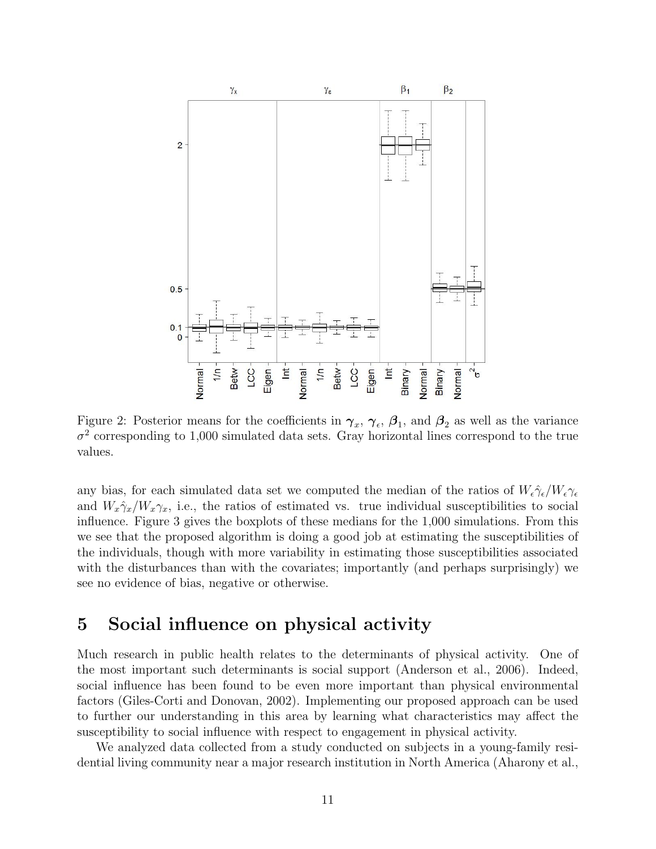<span id="page-10-1"></span>

Figure 2: Posterior means for the coefficients in  $\gamma_x$ ,  $\gamma_\epsilon$ ,  $\beta_1$ , and  $\beta_2$  as well as the variance  $\sigma^2$  corresponding to 1,000 simulated data sets. Gray horizontal lines correspond to the true values.

any bias, for each simulated data set we computed the median of the ratios of  $W_{\epsilon} \hat{\gamma}_{\epsilon}/W_{\epsilon} \gamma_{\epsilon}$ and  $W_x \hat{\gamma}_x / W_x \gamma_x$ , i.e., the ratios of estimated vs. true individual susceptibilities to social influence. Figure [3](#page-11-1) gives the boxplots of these medians for the 1,000 simulations. From this we see that the proposed algorithm is doing a good job at estimating the susceptibilities of the individuals, though with more variability in estimating those susceptibilities associated with the disturbances than with the covariates; importantly (and perhaps surprisingly) we see no evidence of bias, negative or otherwise.

# <span id="page-10-0"></span>5 Social influence on physical activity

Much research in public health relates to the determinants of physical activity. One of the most important such determinants is social support [\(Anderson et al., 2006\)](#page-19-6). Indeed, social influence has been found to be even more important than physical environmental factors [\(Giles-Corti and Donovan, 2002\)](#page-20-9). Implementing our proposed approach can be used to further our understanding in this area by learning what characteristics may affect the susceptibility to social influence with respect to engagement in physical activity.

We analyzed data collected from a study conducted on subjects in a young-family residential living community near a major research institution in North America [\(Aharony et al.,](#page-19-7)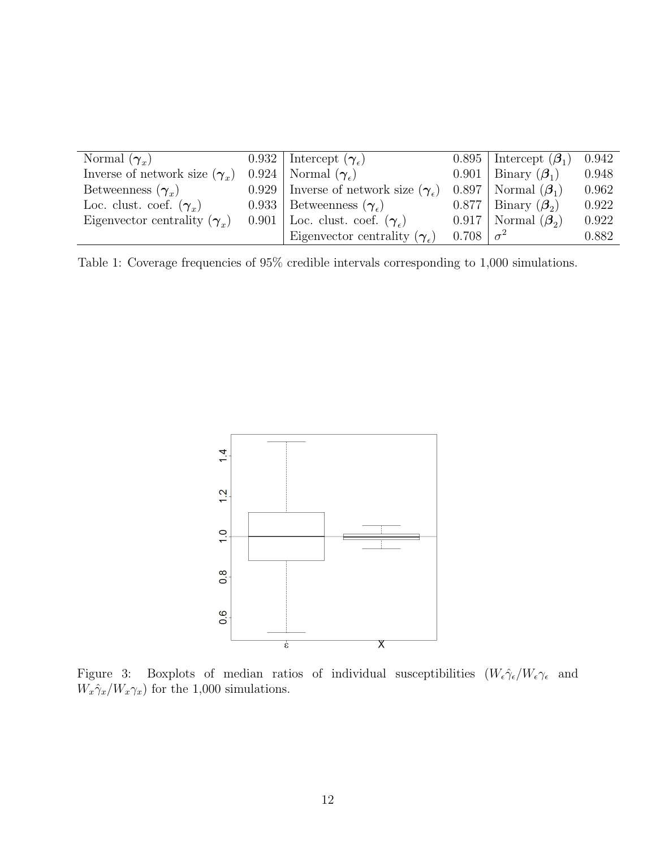<span id="page-11-0"></span>

| Normal $(\gamma_r)$                  | 0.932   Intercept $(\gamma_e)$               |                       | 0.895   Intercept $(\beta_1)$ | 0.942 |
|--------------------------------------|----------------------------------------------|-----------------------|-------------------------------|-------|
| Inverse of network size $(\gamma_x)$ | $0.924$   Normal $(\gamma_c)$                |                       | 0.901   Binary $(\beta_1)$    | 0.948 |
| Betweenness $(\gamma_r)$             | 0.929 Inverse of network size $(\gamma_e)$   |                       | $0.897$   Normal $(\beta_1)$  | 0.962 |
| Loc. clust. coef. $(\gamma_x)$       | 0.933   Betweenness $(\gamma_{\epsilon})$    |                       | $0.877$   Binary $(\beta_2)$  | 0.922 |
| Eigenvector centrality $(\gamma_r)$  | 0.901 Loc. clust. coef. $(\gamma_e)$         |                       | $0.917$ Normal $(\beta_2)$    | 0.922 |
|                                      | Eigenvector centrality $(\gamma_{\epsilon})$ | $0.708 \mid \sigma^2$ |                               | 0.882 |

Table 1: Coverage frequencies of 95% credible intervals corresponding to 1,000 simulations.

<span id="page-11-1"></span>

Figure 3: Boxplots of median ratios of individual susceptibilities  $(W_{\epsilon} \hat{\gamma}_{\epsilon}/W_{\epsilon} \gamma_{\epsilon}$  and  $W_x\hat{\gamma}_x/W_x\gamma_x)$  for the 1,000 simulations.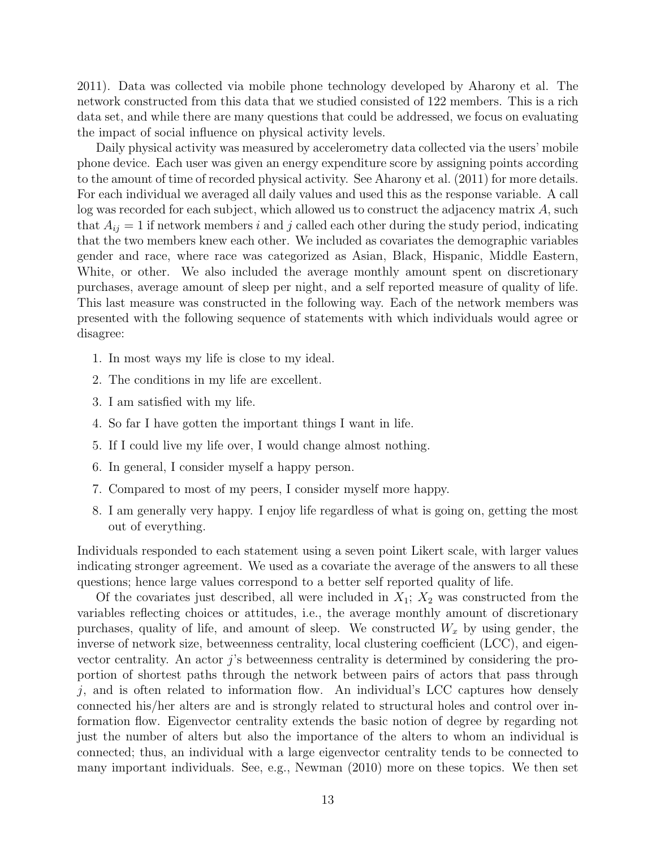[2011\)](#page-19-7). Data was collected via mobile phone technology developed by Aharony et al. The network constructed from this data that we studied consisted of 122 members. This is a rich data set, and while there are many questions that could be addressed, we focus on evaluating the impact of social influence on physical activity levels.

Daily physical activity was measured by accelerometry data collected via the users' mobile phone device. Each user was given an energy expenditure score by assigning points according to the amount of time of recorded physical activity. See [Aharony et al.](#page-19-7) [\(2011\)](#page-19-7) for more details. For each individual we averaged all daily values and used this as the response variable. A call log was recorded for each subject, which allowed us to construct the adjacency matrix A, such that  $A_{ij} = 1$  if network members i and j called each other during the study period, indicating that the two members knew each other. We included as covariates the demographic variables gender and race, where race was categorized as Asian, Black, Hispanic, Middle Eastern, White, or other. We also included the average monthly amount spent on discretionary purchases, average amount of sleep per night, and a self reported measure of quality of life. This last measure was constructed in the following way. Each of the network members was presented with the following sequence of statements with which individuals would agree or disagree:

- 1. In most ways my life is close to my ideal.
- 2. The conditions in my life are excellent.
- 3. I am satisfied with my life.
- 4. So far I have gotten the important things I want in life.
- 5. If I could live my life over, I would change almost nothing.
- 6. In general, I consider myself a happy person.
- 7. Compared to most of my peers, I consider myself more happy.
- 8. I am generally very happy. I enjoy life regardless of what is going on, getting the most out of everything.

Individuals responded to each statement using a seven point Likert scale, with larger values indicating stronger agreement. We used as a covariate the average of the answers to all these questions; hence large values correspond to a better self reported quality of life.

Of the covariates just described, all were included in  $X_1$ ;  $X_2$  was constructed from the variables reflecting choices or attitudes, i.e., the average monthly amount of discretionary purchases, quality of life, and amount of sleep. We constructed  $W_x$  by using gender, the inverse of network size, betweenness centrality, local clustering coefficient (LCC), and eigenvector centrality. An actor  $j$ 's betweenness centrality is determined by considering the proportion of shortest paths through the network between pairs of actors that pass through  $j$ , and is often related to information flow. An individual's LCC captures how densely connected his/her alters are and is strongly related to structural holes and control over information flow. Eigenvector centrality extends the basic notion of degree by regarding not just the number of alters but also the importance of the alters to whom an individual is connected; thus, an individual with a large eigenvector centrality tends to be connected to many important individuals. See, e.g., [Newman](#page-21-7) [\(2010\)](#page-21-7) more on these topics. We then set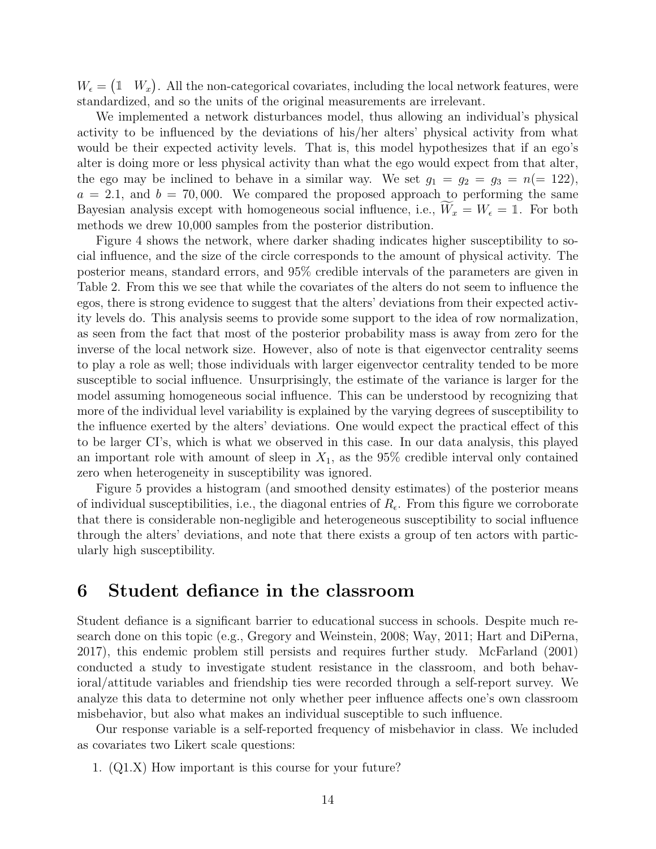$W_{\epsilon} = (1 \ W_x)$ . All the non-categorical covariates, including the local network features, were standardized, and so the units of the original measurements are irrelevant.

We implemented a network disturbances model, thus allowing an individual's physical activity to be influenced by the deviations of his/her alters' physical activity from what would be their expected activity levels. That is, this model hypothesizes that if an ego's alter is doing more or less physical activity than what the ego would expect from that alter, the ego may be inclined to behave in a similar way. We set  $g_1 = g_2 = g_3 = n(= 122)$ ,  $a = 2.1$ , and  $b = 70,000$ . We compared the proposed approach to performing the same Bayesian analysis except with homogeneous social influence, i.e.,  $W_x = W_\epsilon = 1$ . For both methods we drew 10,000 samples from the posterior distribution.

Figure [4](#page-14-0) shows the network, where darker shading indicates higher susceptibility to social influence, and the size of the circle corresponds to the amount of physical activity. The posterior means, standard errors, and 95% credible intervals of the parameters are given in Table [2.](#page-15-0) From this we see that while the covariates of the alters do not seem to influence the egos, there is strong evidence to suggest that the alters' deviations from their expected activity levels do. This analysis seems to provide some support to the idea of row normalization, as seen from the fact that most of the posterior probability mass is away from zero for the inverse of the local network size. However, also of note is that eigenvector centrality seems to play a role as well; those individuals with larger eigenvector centrality tended to be more susceptible to social influence. Unsurprisingly, the estimate of the variance is larger for the model assuming homogeneous social influence. This can be understood by recognizing that more of the individual level variability is explained by the varying degrees of susceptibility to the influence exerted by the alters' deviations. One would expect the practical effect of this to be larger CI's, which is what we observed in this case. In our data analysis, this played an important role with amount of sleep in  $X_1$ , as the 95% credible interval only contained zero when heterogeneity in susceptibility was ignored.

Figure [5](#page-14-1) provides a histogram (and smoothed density estimates) of the posterior means of individual susceptibilities, i.e., the diagonal entries of  $R_{\epsilon}$ . From this figure we corroborate that there is considerable non-negligible and heterogeneous susceptibility to social influence through the alters' deviations, and note that there exists a group of ten actors with particularly high susceptibility.

## <span id="page-13-0"></span>6 Student defiance in the classroom

Student defiance is a significant barrier to educational success in schools. Despite much research done on this topic (e.g., [Gregory and Weinstein, 2008;](#page-20-10) [Way, 2011;](#page-21-8) [Hart and DiPerna,](#page-20-11) [2017\)](#page-20-11), this endemic problem still persists and requires further study. [McFarland](#page-20-12) [\(2001\)](#page-20-12) conducted a study to investigate student resistance in the classroom, and both behavioral/attitude variables and friendship ties were recorded through a self-report survey. We analyze this data to determine not only whether peer influence affects one's own classroom misbehavior, but also what makes an individual susceptible to such influence.

Our response variable is a self-reported frequency of misbehavior in class. We included as covariates two Likert scale questions:

1. (Q1.X) How important is this course for your future?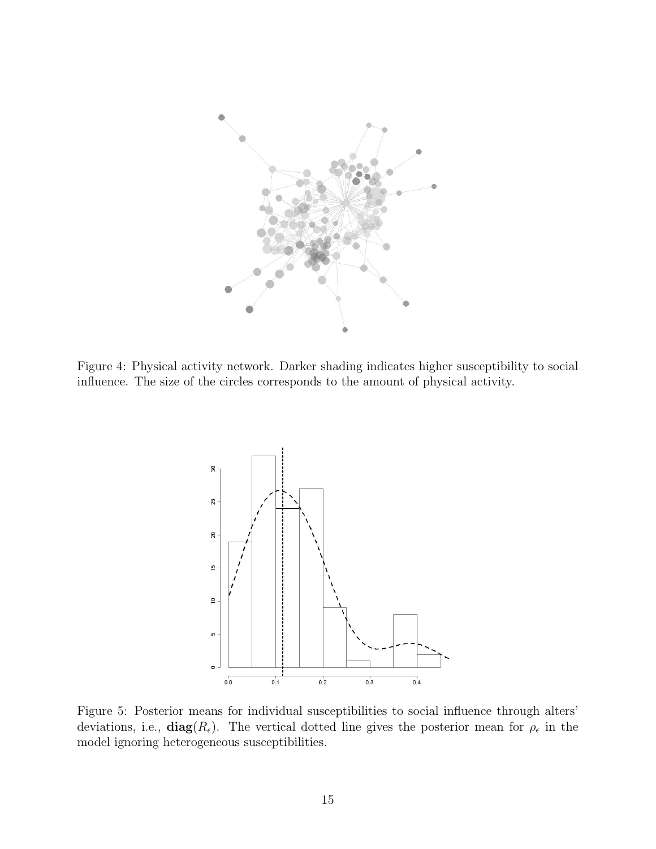<span id="page-14-0"></span>

<span id="page-14-1"></span>Figure 4: Physical activity network. Darker shading indicates higher susceptibility to social influence. The size of the circles corresponds to the amount of physical activity.



Figure 5: Posterior means for individual susceptibilities to social influence through alters' deviations, i.e.,  $diag(R_{\epsilon})$ . The vertical dotted line gives the posterior mean for  $\rho_{\epsilon}$  in the model ignoring heterogeneous susceptibilities.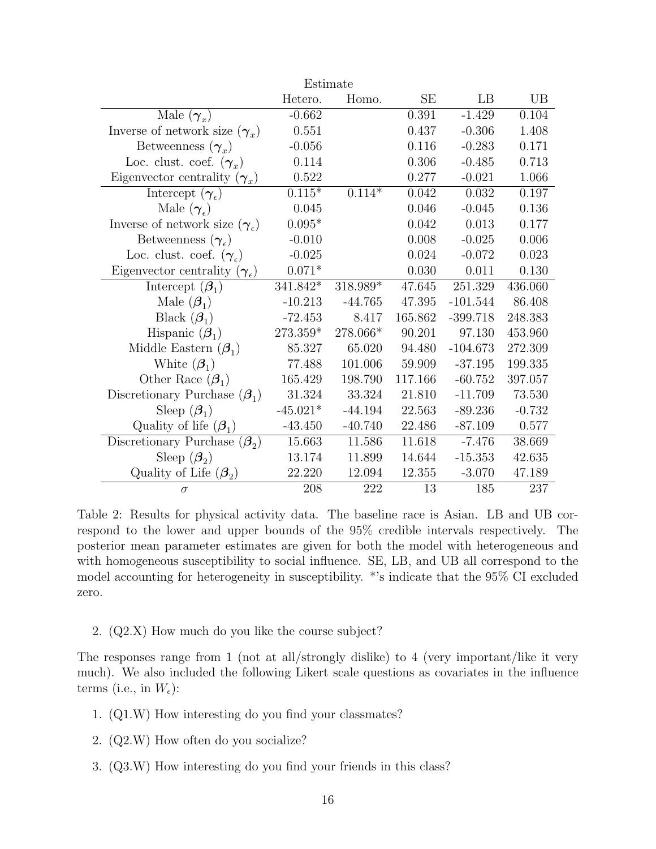<span id="page-15-0"></span>

| Estimate                                     |            |           |         |            |          |  |  |  |
|----------------------------------------------|------------|-----------|---------|------------|----------|--|--|--|
|                                              | Hetero.    | Homo.     | SE      | LB         | UB       |  |  |  |
| Male $(\gamma_x)$                            | $-0.662$   |           | 0.391   | $-1.429$   | 0.104    |  |  |  |
| Inverse of network size $(\gamma_x)$         | 0.551      |           | 0.437   | $-0.306$   | 1.408    |  |  |  |
| Betweenness $(\gamma_x)$                     | $-0.056$   |           | 0.116   | $-0.283$   | 0.171    |  |  |  |
| Loc. clust. coef. $(\gamma_x)$               | 0.114      |           | 0.306   | $-0.485$   | 0.713    |  |  |  |
| Eigenvector centrality $(\gamma_x)$          | 0.522      |           | 0.277   | $-0.021$   | 1.066    |  |  |  |
| Intercept $(\gamma_{\epsilon})$              | $0.115*$   | $0.114*$  | 0.042   | 0.032      | 0.197    |  |  |  |
| Male $(\gamma_{\epsilon})$                   | 0.045      |           | 0.046   | $-0.045$   | 0.136    |  |  |  |
| Inverse of network size $(\gamma_e)$         | $0.095*$   |           | 0.042   | 0.013      | 0.177    |  |  |  |
| Betweenness $(\gamma_{\epsilon})$            | $-0.010$   |           | 0.008   | $-0.025$   | 0.006    |  |  |  |
| Loc. clust. coef. $(\gamma_{\epsilon})$      | $-0.025$   |           | 0.024   | $-0.072$   | 0.023    |  |  |  |
| Eigenvector centrality $(\gamma_{\epsilon})$ | $0.071*$   |           | 0.030   | 0.011      | 0.130    |  |  |  |
| Intercept $(\boldsymbol{\beta}_1)$           | 341.842*   | 318.989*  | 47.645  | 251.329    | 436.060  |  |  |  |
| Male $(\boldsymbol{\beta}_1)$                | $-10.213$  | $-44.765$ | 47.395  | $-101.544$ | 86.408   |  |  |  |
| Black $(\boldsymbol{\beta}_1)$               | $-72.453$  | 8.417     | 165.862 | $-399.718$ | 248.383  |  |  |  |
| Hispanic $(\beta_1)$                         | 273.359*   | 278.066*  | 90.201  | 97.130     | 453.960  |  |  |  |
| Middle Eastern $(\beta_1)$                   | 85.327     | 65.020    | 94.480  | $-104.673$ | 272.309  |  |  |  |
| White $(\boldsymbol{\beta}_1)$               | 77.488     | 101.006   | 59.909  | $-37.195$  | 199.335  |  |  |  |
| Other Race $(\beta_1)$                       | 165.429    | 198.790   | 117.166 | $-60.752$  | 397.057  |  |  |  |
| Discretionary Purchase $(\beta_1)$           | 31.324     | 33.324    | 21.810  | $-11.709$  | 73.530   |  |  |  |
| Sleep $(\boldsymbol{\beta}_1)$               | $-45.021*$ | $-44.194$ | 22.563  | $-89.236$  | $-0.732$ |  |  |  |
| Quality of life $(\beta_1)$                  | $-43.450$  | $-40.740$ | 22.486  | $-87.109$  | 0.577    |  |  |  |
| Discretionary Purchase $(\beta_2)$           | 15.663     | 11.586    | 11.618  | $-7.476$   | 38.669   |  |  |  |
| Sleep $(\beta_2)$                            | 13.174     | 11.899    | 14.644  | $-15.353$  | 42.635   |  |  |  |
| Quality of Life $(\beta_2)$                  | 22.220     | 12.094    | 12.355  | $-3.070$   | 47.189   |  |  |  |
| $\sigma$                                     | 208        | 222       | 13      | 185        | 237      |  |  |  |

Table 2: Results for physical activity data. The baseline race is Asian. LB and UB correspond to the lower and upper bounds of the 95% credible intervals respectively. The posterior mean parameter estimates are given for both the model with heterogeneous and with homogeneous susceptibility to social influence. SE, LB, and UB all correspond to the model accounting for heterogeneity in susceptibility. \*'s indicate that the 95% CI excluded zero.

2. (Q2.X) How much do you like the course subject?

The responses range from 1 (not at all/strongly dislike) to 4 (very important/like it very much). We also included the following Likert scale questions as covariates in the influence terms (i.e., in  $W_{\epsilon}$ ):

- 1. (Q1.W) How interesting do you find your classmates?
- 2. (Q2.W) How often do you socialize?
- 3. (Q3.W) How interesting do you find your friends in this class?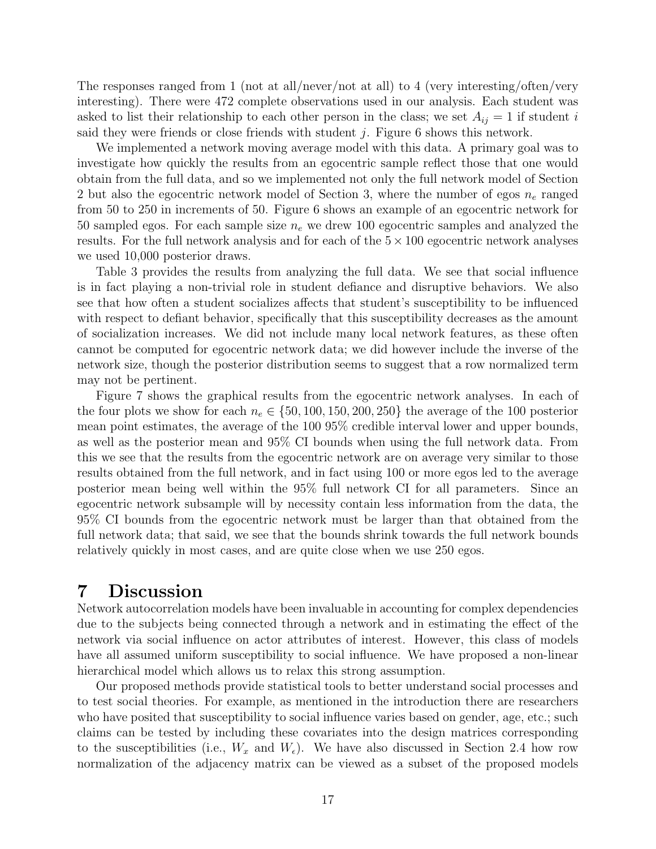The responses ranged from 1 (not at all/never/not at all) to 4 (very interesting/often/very interesting). There were 472 complete observations used in our analysis. Each student was asked to list their relationship to each other person in the class; we set  $A_{ij} = 1$  if student i said they were friends or close friends with student  $j$ . Figure [6](#page-17-0) shows this network.

We implemented a network moving average model with this data. A primary goal was to investigate how quickly the results from an egocentric sample reflect those that one would obtain from the full data, and so we implemented not only the full network model of Section [2](#page-1-0) but also the egocentric network model of Section [3,](#page-7-0) where the number of egos  $n_e$  ranged from 50 to 250 in increments of 50. Figure [6](#page-17-0) shows an example of an egocentric network for 50 sampled egos. For each sample size  $n_e$  we drew 100 egocentric samples and analyzed the results. For the full network analysis and for each of the  $5 \times 100$  egocentric network analyses we used 10,000 posterior draws.

Table [3](#page-17-1) provides the results from analyzing the full data. We see that social influence is in fact playing a non-trivial role in student defiance and disruptive behaviors. We also see that how often a student socializes affects that student's susceptibility to be influenced with respect to defiant behavior, specifically that this susceptibility decreases as the amount of socialization increases. We did not include many local network features, as these often cannot be computed for egocentric network data; we did however include the inverse of the network size, though the posterior distribution seems to suggest that a row normalized term may not be pertinent.

Figure [7](#page-18-0) shows the graphical results from the egocentric network analyses. In each of the four plots we show for each  $n_e \in \{50, 100, 150, 200, 250\}$  the average of the 100 posterior mean point estimates, the average of the 100 95% credible interval lower and upper bounds, as well as the posterior mean and 95% CI bounds when using the full network data. From this we see that the results from the egocentric network are on average very similar to those results obtained from the full network, and in fact using 100 or more egos led to the average posterior mean being well within the 95% full network CI for all parameters. Since an egocentric network subsample will by necessity contain less information from the data, the 95% CI bounds from the egocentric network must be larger than that obtained from the full network data; that said, we see that the bounds shrink towards the full network bounds relatively quickly in most cases, and are quite close when we use 250 egos.

### <span id="page-16-0"></span>7 Discussion

Network autocorrelation models have been invaluable in accounting for complex dependencies due to the subjects being connected through a network and in estimating the effect of the network via social influence on actor attributes of interest. However, this class of models have all assumed uniform susceptibility to social influence. We have proposed a non-linear hierarchical model which allows us to relax this strong assumption.

Our proposed methods provide statistical tools to better understand social processes and to test social theories. For example, as mentioned in the introduction there are researchers who have posited that susceptibility to social influence varies based on gender, age, etc.; such claims can be tested by including these covariates into the design matrices corresponding to the susceptibilities (i.e.,  $W_x$  and  $W_\epsilon$ ). We have also discussed in Section [2.4](#page-7-1) how row normalization of the adjacency matrix can be viewed as a subset of the proposed models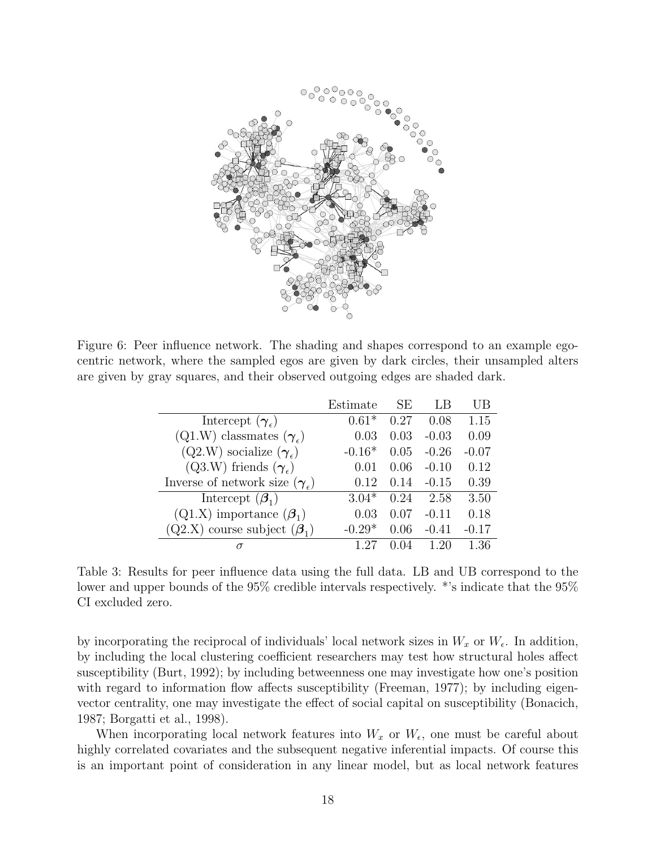<span id="page-17-0"></span>

<span id="page-17-1"></span>Figure 6: Peer influence network. The shading and shapes correspond to an example egocentric network, where the sampled egos are given by dark circles, their unsampled alters are given by gray squares, and their observed outgoing edges are shaded dark.

|                                               | Estimate | SE   |         | UВ      |
|-----------------------------------------------|----------|------|---------|---------|
| Intercept $(\gamma_{\epsilon})$               | $0.61*$  | 0.27 | 0.08    | 1.15    |
| $(Q1.W)$ classmates $(\gamma_e)$              | 0.03     | 0.03 | $-0.03$ | 0.09    |
| $(Q2.W)$ socialize $(\gamma_{\epsilon})$      | $-0.16*$ | 0.05 | $-0.26$ | $-0.07$ |
| $(Q3.W)$ friends $(\gamma_{\epsilon})$        | 0.01     | 0.06 | $-0.10$ | 0.12    |
| Inverse of network size $(\gamma_{\epsilon})$ | 0.12     | 0.14 | $-0.15$ | 0.39    |
| Intercept $(\boldsymbol{\beta}_1)$            | $3.04*$  | 0.24 | 2.58    | 3.50    |
| $(Q1.X)$ importance $(\boldsymbol{\beta}_1)$  | 0.03     | 0.07 | $-0.11$ | 0.18    |
| $(Q2.X)$ course subject $(\beta_1)$           | $-0.29*$ | 0.06 | $-0.41$ | $-0.17$ |
|                                               |          |      |         | 1.36    |

Table 3: Results for peer influence data using the full data. LB and UB correspond to the lower and upper bounds of the 95% credible intervals respectively. \*'s indicate that the 95% CI excluded zero.

by incorporating the reciprocal of individuals' local network sizes in  $W_x$  or  $W_{\epsilon}$ . In addition, by including the local clustering coefficient researchers may test how structural holes affect susceptibility [\(Burt, 1992\)](#page-19-8); by including betweenness one may investigate how one's position with regard to information flow affects susceptibility [\(Freeman, 1977\)](#page-20-13); by including eigenvector centrality, one may investigate the effect of social capital on susceptibility [\(Bonacich,](#page-19-9) [1987;](#page-19-9) [Borgatti et al., 1998\)](#page-19-10).

When incorporating local network features into  $W_x$  or  $W_{\epsilon}$ , one must be careful about highly correlated covariates and the subsequent negative inferential impacts. Of course this is an important point of consideration in any linear model, but as local network features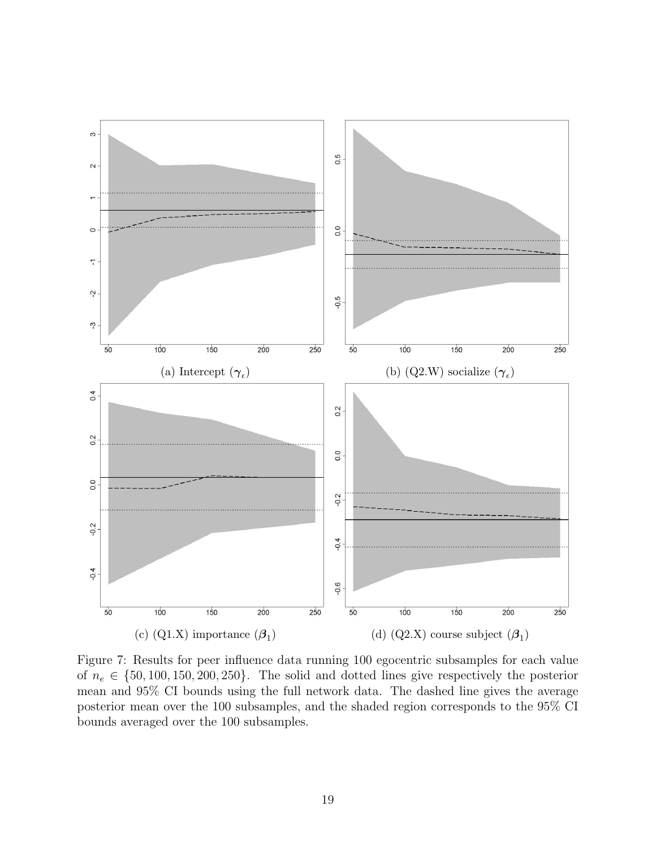<span id="page-18-0"></span>

Figure 7: Results for peer influence data running 100 egocentric subsamples for each value of  $n_e \in \{50, 100, 150, 200, 250\}$ . The solid and dotted lines give respectively the posterior mean and 95% CI bounds using the full network data. The dashed line gives the average posterior mean over the 100 subsamples, and the shaded region corresponds to the 95% CI bounds averaged over the 100 subsamples.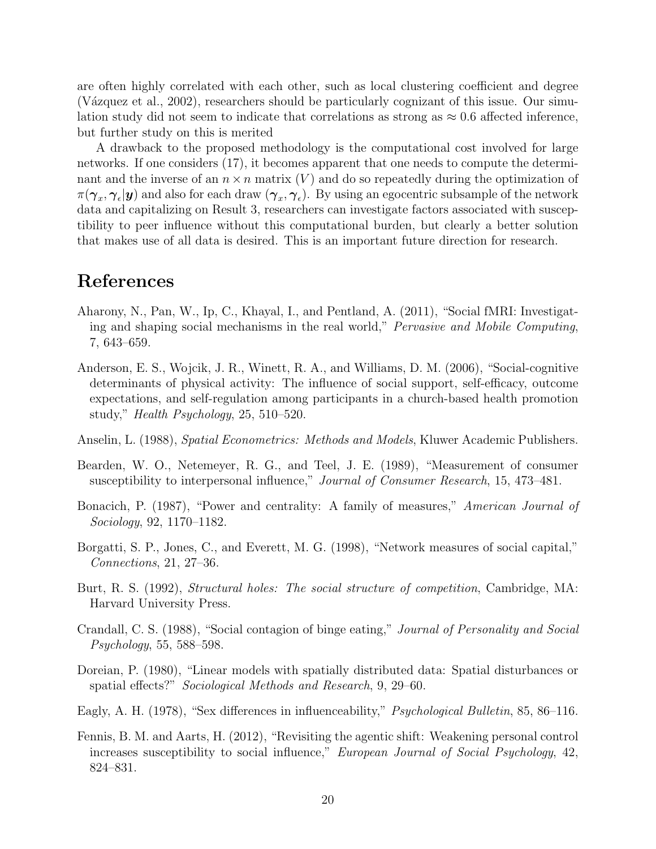are often highly correlated with each other, such as local clustering coefficient and degree (Vázquez et al., 2002), researchers should be particularly cognizant of this issue. Our simulation study did not seem to indicate that correlations as strong as  $\approx 0.6$  affected inference, but further study on this is merited

A drawback to the proposed methodology is the computational cost involved for large networks. If one considers [\(17\)](#page-6-0), it becomes apparent that one needs to compute the determinant and the inverse of an  $n \times n$  matrix  $(V)$  and do so repeatedly during the optimization of  $\pi(\bm{\gamma}_x,\bm{\gamma}_\epsilon|\bm{y})$  and also for each draw  $(\bm{\gamma}_x,\bm{\gamma}_\epsilon).$  By using an egocentric subsample of the network data and capitalizing on Result [3,](#page-8-3) researchers can investigate factors associated with susceptibility to peer influence without this computational burden, but clearly a better solution that makes use of all data is desired. This is an important future direction for research.

## References

- <span id="page-19-7"></span>Aharony, N., Pan, W., Ip, C., Khayal, I., and Pentland, A. (2011), "Social fMRI: Investigating and shaping social mechanisms in the real world," Pervasive and Mobile Computing, 7, 643–659.
- <span id="page-19-6"></span>Anderson, E. S., Wojcik, J. R., Winett, R. A., and Williams, D. M. (2006), "Social-cognitive determinants of physical activity: The influence of social support, self-efficacy, outcome expectations, and self-regulation among participants in a church-based health promotion study," Health Psychology, 25, 510–520.
- <span id="page-19-5"></span>Anselin, L. (1988), Spatial Econometrics: Methods and Models, Kluwer Academic Publishers.
- <span id="page-19-4"></span>Bearden, W. O., Netemeyer, R. G., and Teel, J. E. (1989), "Measurement of consumer susceptibility to interpersonal influence," Journal of Consumer Research, 15, 473–481.
- <span id="page-19-9"></span>Bonacich, P. (1987), "Power and centrality: A family of measures," American Journal of Sociology, 92, 1170–1182.
- <span id="page-19-10"></span>Borgatti, S. P., Jones, C., and Everett, M. G. (1998), "Network measures of social capital," Connections, 21, 27–36.
- <span id="page-19-8"></span>Burt, R. S. (1992), Structural holes: The social structure of competition, Cambridge, MA: Harvard University Press.
- <span id="page-19-0"></span>Crandall, C. S. (1988), "Social contagion of binge eating," Journal of Personality and Social Psychology, 55, 588–598.
- <span id="page-19-1"></span>Doreian, P. (1980), "Linear models with spatially distributed data: Spatial disturbances or spatial effects?" Sociological Methods and Research, 9, 29–60.
- <span id="page-19-2"></span>Eagly, A. H. (1978), "Sex differences in influenceability," Psychological Bulletin, 85, 86–116.
- <span id="page-19-3"></span>Fennis, B. M. and Aarts, H. (2012), "Revisiting the agentic shift: Weakening personal control increases susceptibility to social influence," European Journal of Social Psychology, 42, 824–831.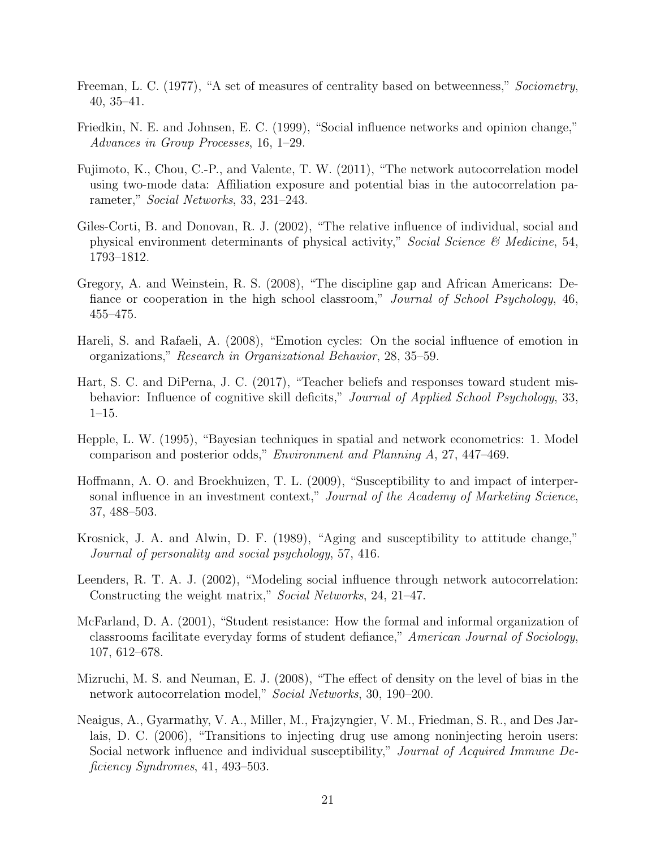- <span id="page-20-13"></span>Freeman, L. C. (1977), "A set of measures of centrality based on betweenness," Sociometry, 40, 35–41.
- <span id="page-20-4"></span>Friedkin, N. E. and Johnsen, E. C. (1999), "Social influence networks and opinion change," Advances in Group Processes, 16, 1–29.
- <span id="page-20-3"></span>Fujimoto, K., Chou, C.-P., and Valente, T. W. (2011), "The network autocorrelation model using two-mode data: Affiliation exposure and potential bias in the autocorrelation parameter," Social Networks, 33, 231–243.
- <span id="page-20-9"></span>Giles-Corti, B. and Donovan, R. J. (2002), "The relative influence of individual, social and physical environment determinants of physical activity," Social Science & Medicine, 54, 1793–1812.
- <span id="page-20-10"></span>Gregory, A. and Weinstein, R. S. (2008), "The discipline gap and African Americans: Defiance or cooperation in the high school classroom," Journal of School Psychology, 46, 455–475.
- <span id="page-20-1"></span>Hareli, S. and Rafaeli, A. (2008), "Emotion cycles: On the social influence of emotion in organizations," Research in Organizational Behavior, 28, 35–59.
- <span id="page-20-11"></span>Hart, S. C. and DiPerna, J. C. (2017), "Teacher beliefs and responses toward student misbehavior: Influence of cognitive skill deficits," Journal of Applied School Psychology, 33, 1–15.
- <span id="page-20-6"></span>Hepple, L. W. (1995), "Bayesian techniques in spatial and network econometrics: 1. Model comparison and posterior odds," Environment and Planning A, 27, 447–469.
- <span id="page-20-0"></span>Hoffmann, A. O. and Broekhuizen, T. L. (2009), "Susceptibility to and impact of interpersonal influence in an investment context," Journal of the Academy of Marketing Science, 37, 488–503.
- <span id="page-20-5"></span>Krosnick, J. A. and Alwin, D. F. (1989), "Aging and susceptibility to attitude change," Journal of personality and social psychology, 57, 416.
- <span id="page-20-7"></span>Leenders, R. T. A. J. (2002), "Modeling social influence through network autocorrelation: Constructing the weight matrix," Social Networks, 24, 21–47.
- <span id="page-20-12"></span>McFarland, D. A. (2001), "Student resistance: How the formal and informal organization of classrooms facilitate everyday forms of student defiance," American Journal of Sociology, 107, 612–678.
- <span id="page-20-8"></span>Mizruchi, M. S. and Neuman, E. J. (2008), "The effect of density on the level of bias in the network autocorrelation model," Social Networks, 30, 190–200.
- <span id="page-20-2"></span>Neaigus, A., Gyarmathy, V. A., Miller, M., Frajzyngier, V. M., Friedman, S. R., and Des Jarlais, D. C. (2006), "Transitions to injecting drug use among noninjecting heroin users: Social network influence and individual susceptibility," Journal of Acquired Immune Deficiency Syndromes, 41, 493–503.